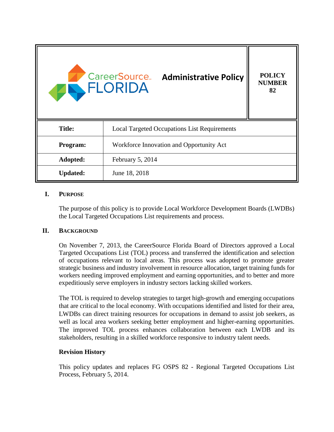

## **I. PURPOSE**

The purpose of this policy is to provide Local Workforce Development Boards (LWDBs) the Local Targeted Occupations List requirements and process.

## **II. BACKGROUND**

On November 7, 2013, the CareerSource Florida Board of Directors approved a Local Targeted Occupations List (TOL) process and transferred the identification and selection of occupations relevant to local areas. This process was adopted to promote greater strategic business and industry involvement in resource allocation, target training funds for workers needing improved employment and earning opportunities, and to better and more expeditiously serve employers in industry sectors lacking skilled workers.

The TOL is required to develop strategies to target high-growth and emerging occupations that are critical to the local economy. With occupations identified and listed for their area, LWDBs can direct training resources for occupations in demand to assist job seekers, as well as local area workers seeking better employment and higher-earning opportunities. The improved TOL process enhances collaboration between each LWDB and its stakeholders, resulting in a skilled workforce responsive to industry talent needs.

#### **Revision History**

This policy updates and replaces FG OSPS 82 - Regional Targeted Occupations List Process, February 5, 2014.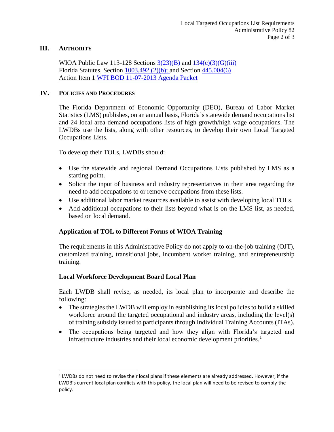#### **III. AUTHORITY**

 $\overline{a}$ 

WIOA Public Law 113-128 Sections  $3(23)(B)$  and  $134(c)(3)(G)(iii)$ Florida Statutes, Section [1003.492 \(2\)\(b\);](http://www.leg.state.fl.us/Statutes/index.cfm?App_mode=Display_Statute&URL=1000-1099/1003/Sections/1003.492.html) and Section [445.004\(6\)](http://www.leg.state.fl.us/statutes/index.cfm?mode=View%20Statutes&SubMenu=1&App_mode=Display_Statute&Search_String=Targeted+occupations&URL=0400-0499/0445/Sections/0445.004.html) Action Item 1 [WFI BOD 11-07-2013 Agenda Packet](https://careersourceflorida.com/wp-content/uploads/2014/01/140220_BODAgendaPacketCompressed.pdf)

#### **IV. POLICIES AND PROCEDURES**

The Florida Department of Economic Opportunity (DEO), Bureau of Labor Market Statistics (LMS) publishes, on an annual basis, Florida's statewide demand occupations list and 24 local area demand occupations lists of high growth/high wage occupations. The LWDBs use the lists, along with other resources, to develop their own Local Targeted Occupations Lists.

To develop their TOLs, LWDBs should:

- Use the statewide and regional Demand Occupations Lists published by LMS as a starting point.
- Solicit the input of business and industry representatives in their area regarding the need to add occupations to or remove occupations from these lists.
- Use additional labor market resources available to assist with developing local TOLs.
- Add additional occupations to their lists beyond what is on the LMS list, as needed, based on local demand.

## **Application of TOL to Different Forms of WIOA Training**

The requirements in this Administrative Policy do not apply to on-the-job training (OJT), customized training, transitional jobs, incumbent worker training, and entrepreneurship training.

## **Local Workforce Development Board Local Plan**

Each LWDB shall revise, as needed, its local plan to incorporate and describe the following:

- The strategies the LWDB will employ in establishing its local policies to build a skilled workforce around the targeted occupational and industry areas, including the level(s) of training subsidy issued to participants through Individual Training Accounts (ITAs).
- The occupations being targeted and how they align with Florida's targeted and infrastructure industries and their local economic development priorities.<sup>1</sup>

<sup>&</sup>lt;sup>1</sup> LWDBs do not need to revise their local plans if these elements are already addressed. However, if the LWDB's current local plan conflicts with this policy, the local plan will need to be revised to comply the policy.